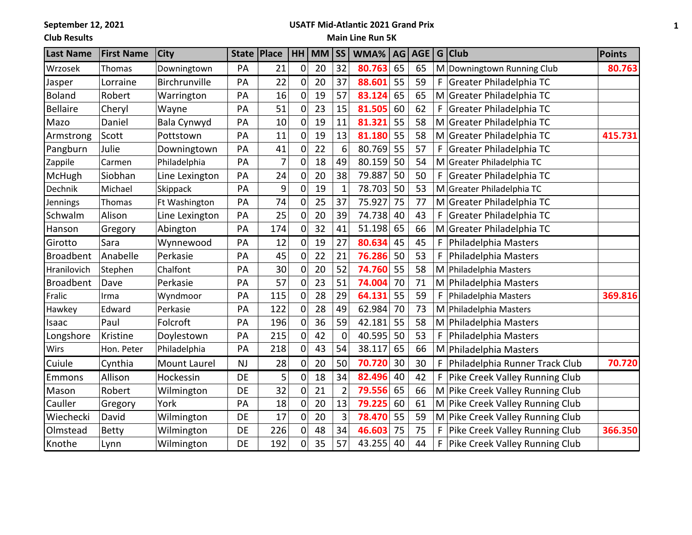**September 12, 2021**

## **USATF Mid-Atlantic 2021 Grand Prix**

**Club Results**

## **Main Line Run 5K**

| <b>Last Name</b> | <b>First Name</b> | <b>City</b>         | <b>State</b> | Place | HH             | $MM$ SS |                | WMA%   | AG | AGE |   | $G$ Club                       | <b>Points</b> |
|------------------|-------------------|---------------------|--------------|-------|----------------|---------|----------------|--------|----|-----|---|--------------------------------|---------------|
| Wrzosek          | Thomas            | Downingtown         | PA           | 21    | 0              | 20      | 32             | 80.763 | 65 | 65  |   | M Downingtown Running Club     | 80.763        |
| Jasper           | Lorraine          | Birchrunville       | PA           | 22    | $\mathbf 0$    | 20      | 37             | 88.601 | 55 | 59  | F | Greater Philadelphia TC        |               |
| <b>Boland</b>    | Robert            | Warrington          | PA           | 16    | $\mathbf 0$    | 19      | 57             | 83.124 | 65 | 65  | M | Greater Philadelphia TC        |               |
| <b>Bellaire</b>  | Cheryl            | Wayne               | PA           | 51    | $\mathbf 0$    | 23      | 15             | 81.505 | 60 | 62  | F | Greater Philadelphia TC        |               |
| Mazo             | Daniel            | Bala Cynwyd         | PA           | 10    | $\mathbf 0$    | 19      | 11             | 81.321 | 55 | 58  | M | Greater Philadelphia TC        |               |
| Armstrong        | Scott             | Pottstown           | PA           | 11    | $\mathbf 0$    | 19      | 13             | 81.180 | 55 | 58  | M | Greater Philadelphia TC        | 415.731       |
| Pangburn         | Julie             | Downingtown         | PA           | 41    | $\mathbf 0$    | 22      | 6              | 80.769 | 55 | 57  | F | Greater Philadelphia TC        |               |
| Zappile          | Carmen            | Philadelphia        | PA           | 7     | 0              | 18      | 49             | 80.159 | 50 | 54  | M | Greater Philadelphia TC        |               |
| McHugh           | Siobhan           | Line Lexington      | PA           | 24    | $\mathbf 0$    | 20      | 38             | 79.887 | 50 | 50  | F | Greater Philadelphia TC        |               |
| Dechnik          | Michael           | Skippack            | PA           | 9     | $\mathbf 0$    | 19      | $\mathbf 1$    | 78.703 | 50 | 53  | M | Greater Philadelphia TC        |               |
| Jennings         | Thomas            | Ft Washington       | PA           | 74    | $\overline{0}$ | 25      | 37             | 75.927 | 75 | 77  | M | Greater Philadelphia TC        |               |
| Schwalm          | Alison            | Line Lexington      | PA           | 25    | $\mathbf 0$    | 20      | 39             | 74.738 | 40 | 43  | F | Greater Philadelphia TC        |               |
| Hanson           | Gregory           | Abington            | PA           | 174   | $\mathbf 0$    | 32      | 41             | 51.198 | 65 | 66  | M | Greater Philadelphia TC        |               |
| Girotto          | Sara              | Wynnewood           | PA           | 12    | $\mathbf 0$    | 19      | 27             | 80.634 | 45 | 45  | F | Philadelphia Masters           |               |
| <b>Broadbent</b> | Anabelle          | Perkasie            | PA           | 45    | $\mathbf 0$    | 22      | 21             | 76.286 | 50 | 53  | F | Philadelphia Masters           |               |
| Hranilovich      | Stephen           | Chalfont            | PA           | 30    | $\mathbf 0$    | 20      | 52             | 74.760 | 55 | 58  | M | Philadelphia Masters           |               |
| <b>Broadbent</b> | Dave              | Perkasie            | PA           | 57    | $\mathbf 0$    | 23      | 51             | 74.004 | 70 | 71  | M | Philadelphia Masters           |               |
| Fralic           | Irma              | Wyndmoor            | PA           | 115   | $\mathbf 0$    | 28      | 29             | 64.131 | 55 | 59  | F | Philadelphia Masters           | 369.816       |
| Hawkey           | Edward            | Perkasie            | PA           | 122   | $\mathbf 0$    | 28      | 49             | 62.984 | 70 | 73  | M | Philadelphia Masters           |               |
| Isaac            | Paul              | Folcroft            | PA           | 196   | $\mathbf 0$    | 36      | 59             | 42.181 | 55 | 58  | M | Philadelphia Masters           |               |
| Longshore        | Kristine          | Doylestown          | PA           | 215   | $\mathbf 0$    | 42      | $\mathbf 0$    | 40.595 | 50 | 53  | F | Philadelphia Masters           |               |
| Wirs             | Hon. Peter        | Philadelphia        | PA           | 218   | $\mathbf 0$    | 43      | 54             | 38.117 | 65 | 66  | M | Philadelphia Masters           |               |
| Cuiule           | Cynthia           | <b>Mount Laurel</b> | <b>NJ</b>    | 28    | $\pmb{0}$      | 20      | 50             | 70.720 | 30 | 30  | F | Philadelphia Runner Track Club | 70.720        |
| Emmons           | Allison           | Hockessin           | <b>DE</b>    | 5     | 0              | 18      | 34             | 82.496 | 40 | 42  | F | Pike Creek Valley Running Club |               |
| Mason            | Robert            | Wilmington          | DE           | 32    | $\mathbf 0$    | 21      | $\overline{2}$ | 79.556 | 65 | 66  | M | Pike Creek Valley Running Club |               |
| Cauller          | Gregory           | York                | PA           | 18    | $\mathbf 0$    | 20      | 13             | 79.225 | 60 | 61  | M | Pike Creek Valley Running Club |               |
| Wiechecki        | David             | Wilmington          | DE           | 17    | $\mathbf 0$    | 20      | 3              | 78.470 | 55 | 59  | M | Pike Creek Valley Running Club |               |
| Olmstead         | <b>Betty</b>      | Wilmington          | DE           | 226   | $\mathbf 0$    | 48      | 34             | 46.603 | 75 | 75  | F | Pike Creek Valley Running Club | 366.350       |
| Knothe           | Lynn              | Wilmington          | DE           | 192   | $\overline{0}$ | 35      | 57             | 43.255 | 40 | 44  | F | Pike Creek Valley Running Club |               |